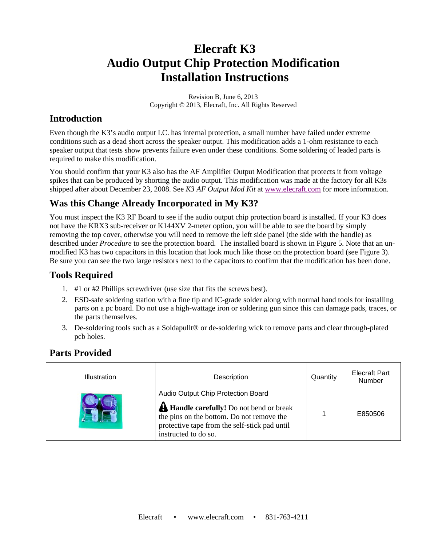# **Elecraft K3 Audio Output Chip Protection Modification Installation Instructions**

Revision B, June 6, 2013 Copyright © 2013, Elecraft, Inc. All Rights Reserved

### **Introduction**

Even though the K3's audio output I.C. has internal protection, a small number have failed under extreme conditions such as a dead short across the speaker output. This modification adds a 1-ohm resistance to each speaker output that tests show prevents failure even under these conditions. Some soldering of leaded parts is required to make this modification.

You should confirm that your K3 also has the AF Amplifier Output Modification that protects it from voltage spikes that can be produced by shorting the audio output. This modification was made at the factory for all K3s shipped after about December 23, 2008. See *K3 AF Output Mod Kit* at www.elecraft.com for more information.

### **Was this Change Already Incorporated in My K3?**

You must inspect the K3 RF Board to see if the audio output chip protection board is installed. If your K3 does not have the KRX3 sub-receiver or K144XV 2-meter option, you will be able to see the board by simply removing the top cover, otherwise you will need to remove the left side panel (the side with the handle) as described under *Procedure* to see the protection board. The installed board is shown in Figure 5. Note that an unmodified K3 has two capacitors in this location that look much like those on the protection board (see Figure 3). Be sure you can see the two large resistors next to the capacitors to confirm that the modification has been done.

### **Tools Required**

- 1. #1 or #2 Phillips screwdriver (use size that fits the screws best).
- 2. ESD-safe soldering station with a fine tip and IC-grade solder along with normal hand tools for installing parts on a pc board. Do not use a high-wattage iron or soldering gun since this can damage pads, traces, or the parts themselves.
- 3. De-soldering tools such as a Soldapullt® or de-soldering wick to remove parts and clear through-plated pcb holes.

### **Parts Provided**

| <b>Illustration</b> | Description                                                                                                                                                                                                 | Quantity | <b>Elecraft Part</b><br>Number |
|---------------------|-------------------------------------------------------------------------------------------------------------------------------------------------------------------------------------------------------------|----------|--------------------------------|
|                     | Audio Output Chip Protection Board<br><b>A Handle carefully!</b> Do not bend or break<br>the pins on the bottom. Do not remove the<br>protective tape from the self-stick pad until<br>instructed to do so. |          | E850506                        |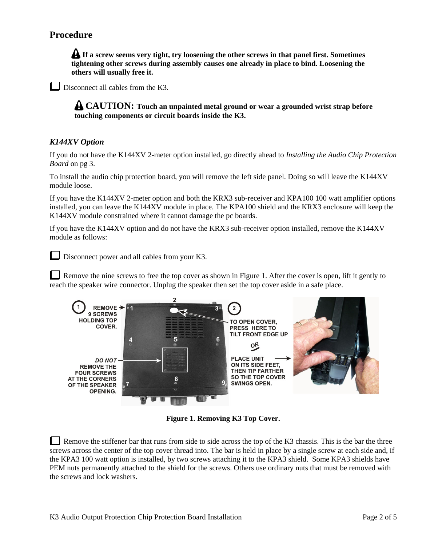### **Procedure**

**If a screw seems very tight, try loosening the other screws in that panel first. Sometimes tightening other screws during assembly causes one already in place to bind. Loosening the others will usually free it.** 

Disconnect all cables from the K3.

**CAUTION: Touch an unpainted metal ground or wear a grounded wrist strap before touching components or circuit boards inside the K3.** 

#### *K144XV Option*

If you do not have the K144XV 2-meter option installed, go directly ahead to *Installing the Audio Chip Protection Board* on pg 3.

To install the audio chip protection board, you will remove the left side panel. Doing so will leave the K144XV module loose.

If you have the K144XV 2-meter option and both the KRX3 sub-receiver and KPA100 100 watt amplifier options installed, you can leave the K144XV module in place. The KPA100 shield and the KRX3 enclosure will keep the K144XV module constrained where it cannot damage the pc boards.

If you have the K144XV option and do not have the KRX3 sub-receiver option installed, remove the K144XV module as follows:

Disconnect power and all cables from your K3.

Remove the nine screws to free the top cover as shown in Figure 1. After the cover is open, lift it gently to reach the speaker wire connector. Unplug the speaker then set the top cover aside in a safe place.



**Figure 1. Removing K3 Top Cover.** 

Remove the stiffener bar that runs from side to side across the top of the K3 chassis. This is the bar the three screws across the center of the top cover thread into. The bar is held in place by a single screw at each side and, if the KPA3 100 watt option is installed, by two screws attaching it to the KPA3 shield. Some KPA3 shields have PEM nuts permanently attached to the shield for the screws. Others use ordinary nuts that must be removed with the screws and lock washers.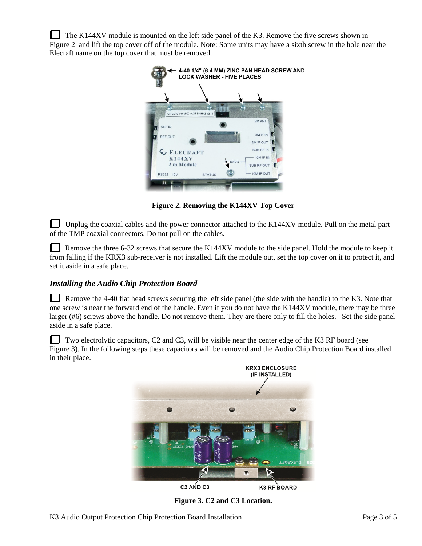The K144XV module is mounted on the left side panel of the K3. Remove the five screws shown in Figure 2 and lift the top cover off of the module. Note: Some units may have a sixth screw in the hole near the Elecraft name on the top cover that must be removed.



**Figure 2. Removing the K144XV Top Cover** 

Unplug the coaxial cables and the power connector attached to the K144XV module. Pull on the metal part of the TMP coaxial connectors. Do not pull on the cables.

Remove the three 6-32 screws that secure the K144XV module to the side panel. Hold the module to keep it from falling if the KRX3 sub-receiver is not installed. Lift the module out, set the top cover on it to protect it, and set it aside in a safe place.

#### *Installing the Audio Chip Protection Board*

Remove the 4-40 flat head screws securing the left side panel (the side with the handle) to the K3. Note that one screw is near the forward end of the handle. Even if you do not have the K144XV module, there may be three larger (#6) screws above the handle. Do not remove them. They are there only to fill the holes. Set the side panel aside in a safe place.

Two electrolytic capacitors, C2 and C3, will be visible near the center edge of the K3 RF board (see Figure 3). In the following steps these capacitors will be removed and the Audio Chip Protection Board installed in their place.



**Figure 3. C2 and C3 Location.**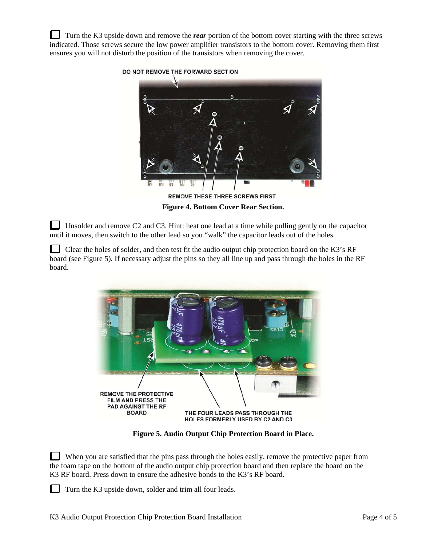Turn the K3 upside down and remove the *rear* portion of the bottom cover starting with the three screws indicated. Those screws secure the low power amplifier transistors to the bottom cover. Removing them first ensures you will not disturb the position of the transistors when removing the cover.



**Figure 4. Bottom Cover Rear Section.** 

Unsolder and remove C2 and C3. Hint: heat one lead at a time while pulling gently on the capacitor until it moves, then switch to the other lead so you "walk" the capacitor leads out of the holes.

Clear the holes of solder, and then test fit the audio output chip protection board on the K3's RF board (see Figure 5). If necessary adjust the pins so they all line up and pass through the holes in the RF board.



**Figure 5. Audio Output Chip Protection Board in Place.** 

When you are satisfied that the pins pass through the holes easily, remove the protective paper from the foam tape on the bottom of the audio output chip protection board and then replace the board on the K3 RF board. Press down to ensure the adhesive bonds to the K3's RF board.

Turn the K3 upside down, solder and trim all four leads.